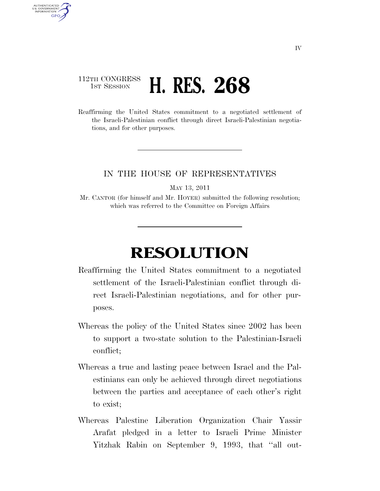## 112TH CONGRESS **1ST SESSION <b>H. RES. 268**

AUTHENTICATED U.S. GOVERNMENT GPO

> Reaffirming the United States commitment to a negotiated settlement of the Israeli-Palestinian conflict through direct Israeli-Palestinian negotiations, and for other purposes.

## IN THE HOUSE OF REPRESENTATIVES

MAY 13, 2011

Mr. CANTOR (for himself and Mr. HOYER) submitted the following resolution; which was referred to the Committee on Foreign Affairs

## **RESOLUTION**

- Reaffirming the United States commitment to a negotiated settlement of the Israeli-Palestinian conflict through direct Israeli-Palestinian negotiations, and for other purposes.
- Whereas the policy of the United States since 2002 has been to support a two-state solution to the Palestinian-Israeli conflict;
- Whereas a true and lasting peace between Israel and the Palestinians can only be achieved through direct negotiations between the parties and acceptance of each other's right to exist;
- Whereas Palestine Liberation Organization Chair Yassir Arafat pledged in a letter to Israeli Prime Minister Yitzhak Rabin on September 9, 1993, that ''all out-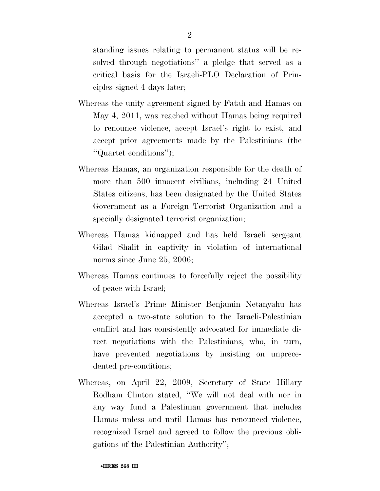standing issues relating to permanent status will be resolved through negotiations'' a pledge that served as a critical basis for the Israeli-PLO Declaration of Principles signed 4 days later;

- Whereas the unity agreement signed by Fatah and Hamas on May 4, 2011, was reached without Hamas being required to renounce violence, accept Israel's right to exist, and accept prior agreements made by the Palestinians (the ''Quartet conditions'');
- Whereas Hamas, an organization responsible for the death of more than 500 innocent civilians, including 24 United States citizens, has been designated by the United States Government as a Foreign Terrorist Organization and a specially designated terrorist organization;
- Whereas Hamas kidnapped and has held Israeli sergeant Gilad Shalit in captivity in violation of international norms since June 25, 2006;
- Whereas Hamas continues to forcefully reject the possibility of peace with Israel;
- Whereas Israel's Prime Minister Benjamin Netanyahu has accepted a two-state solution to the Israeli-Palestinian conflict and has consistently advocated for immediate direct negotiations with the Palestinians, who, in turn, have prevented negotiations by insisting on unprecedented pre-conditions;
- Whereas, on April 22, 2009, Secretary of State Hillary Rodham Clinton stated, ''We will not deal with nor in any way fund a Palestinian government that includes Hamas unless and until Hamas has renounced violence, recognized Israel and agreed to follow the previous obligations of the Palestinian Authority'';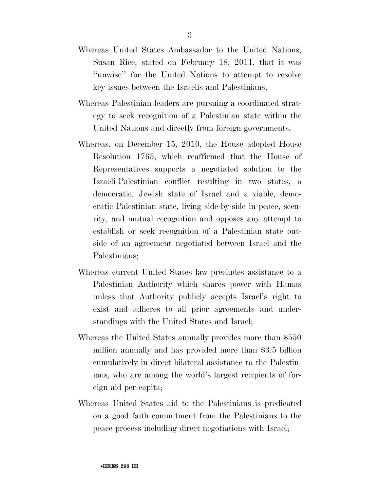- Whereas United States Ambassador to the United Nations, Susan Rice, stated on February 18, 2011, that it was ''unwise'' for the United Nations to attempt to resolve key issues between the Israelis and Palestinians;
- Whereas Palestinian leaders are pursuing a coordinated strategy to seek recognition of a Palestinian state within the United Nations and directly from foreign governments;
- Whereas, on December 15, 2010, the House adopted House Resolution 1765, which reaffirmed that the House of Representatives supports a negotiated solution to the Israeli-Palestinian conflict resulting in two states, a democratic, Jewish state of Israel and a viable, democratic Palestinian state, living side-by-side in peace, security, and mutual recognition and opposes any attempt to establish or seek recognition of a Palestinian state outside of an agreement negotiated between Israel and the Palestinians;
- Whereas current United States law precludes assistance to a Palestinian Authority which shares power with Hamas unless that Authority publicly accepts Israel's right to exist and adheres to all prior agreements and understandings with the United States and Israel;
- Whereas the United States annually provides more than \$550 million annually and has provided more than \$3.5 billion cumulatively in direct bilateral assistance to the Palestinians, who are among the world's largest recipients of foreign aid per capita;
- Whereas United States aid to the Palestinians is predicated on a good faith commitment from the Palestinians to the peace process including direct negotiations with Israel;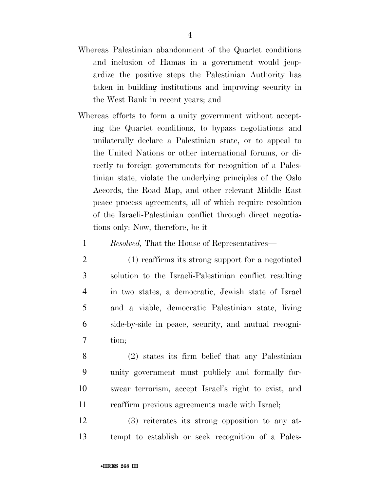- Whereas Palestinian abandonment of the Quartet conditions and inclusion of Hamas in a government would jeopardize the positive steps the Palestinian Authority has taken in building institutions and improving security in the West Bank in recent years; and
- Whereas efforts to form a unity government without accepting the Quartet conditions, to bypass negotiations and unilaterally declare a Palestinian state, or to appeal to the United Nations or other international forums, or directly to foreign governments for recognition of a Palestinian state, violate the underlying principles of the Oslo Accords, the Road Map, and other relevant Middle East peace process agreements, all of which require resolution of the Israeli-Palestinian conflict through direct negotiations only: Now, therefore, be it
	- 1 *Resolved,* That the House of Representatives—
	- 2 (1) reaffirms its strong support for a negotiated 3 solution to the Israeli-Palestinian conflict resulting 4 in two states, a democratic, Jewish state of Israel 5 and a viable, democratic Palestinian state, living 6 side-by-side in peace, security, and mutual recogni-7 tion;
- 8 (2) states its firm belief that any Palestinian 9 unity government must publicly and formally for-10 swear terrorism, accept Israel's right to exist, and 11 reaffirm previous agreements made with Israel;
- 12 (3) reiterates its strong opposition to any at-13 tempt to establish or seek recognition of a Pales-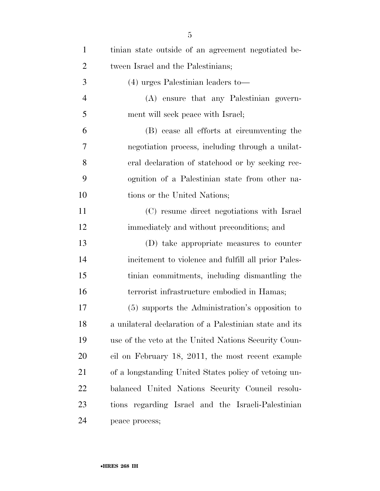| $\mathbf{1}$   | tinian state outside of an agreement negotiated be-     |
|----------------|---------------------------------------------------------|
| $\overline{2}$ | tween Israel and the Palestinians;                      |
| 3              | $(4)$ urges Palestinian leaders to —                    |
| $\overline{4}$ | (A) ensure that any Palestinian govern-                 |
| 5              | ment will seek peace with Israel;                       |
| 6              | (B) cease all efforts at circumventing the              |
| 7              | negotiation process, including through a unilat-        |
| 8              | eral declaration of statehood or by seeking rec-        |
| 9              | ognition of a Palestinian state from other na-          |
| 10             | tions or the United Nations;                            |
| 11             | (C) resume direct negotiations with Israel              |
| 12             | immediately and without preconditions; and              |
| 13             | (D) take appropriate measures to counter                |
| 14             | incitement to violence and fulfill all prior Pales-     |
| 15             | tinian commitments, including dismantling the           |
| 16             | terrorist infrastructure embodied in Hamas;             |
| 17             | (5) supports the Administration's opposition to         |
| 18             | a unilateral declaration of a Palestinian state and its |
| 19             | use of the veto at the United Nations Security Coun-    |
| 20             | cil on February 18, 2011, the most recent example       |
| 21             | of a longstanding United States policy of vetoing un-   |
| 22             | balanced United Nations Security Council resolu-        |
| 23             | tions regarding Israel and the Israeli-Palestinian      |
| 24             | peace process;                                          |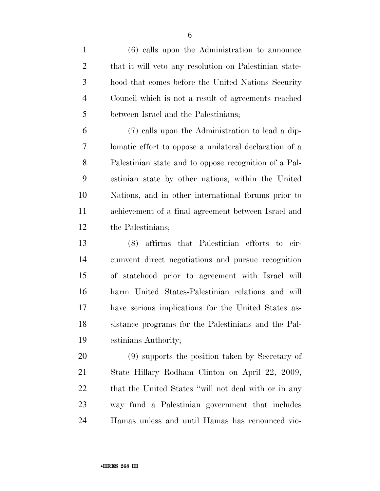(6) calls upon the Administration to announce that it will veto any resolution on Palestinian state- hood that comes before the United Nations Security Council which is not a result of agreements reached between Israel and the Palestinians;

 (7) calls upon the Administration to lead a dip- lomatic effort to oppose a unilateral declaration of a Palestinian state and to oppose recognition of a Pal- estinian state by other nations, within the United Nations, and in other international forums prior to achievement of a final agreement between Israel and the Palestinians;

 (8) affirms that Palestinian efforts to cir- cumvent direct negotiations and pursue recognition of statehood prior to agreement with Israel will harm United States-Palestinian relations and will have serious implications for the United States as- sistance programs for the Palestinians and the Pal-estinians Authority;

 (9) supports the position taken by Secretary of State Hillary Rodham Clinton on April 22, 2009, 22 that the United States "will not deal with or in any way fund a Palestinian government that includes Hamas unless and until Hamas has renounced vio-